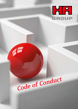

# Code of Conduct

1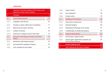### **CONTENT**

| 1.    | Statement from the Presidents of HA Group on the<br><b>Importance of the Code of Conduct</b> | 4  |
|-------|----------------------------------------------------------------------------------------------|----|
| 2.    | <b>Principles</b>                                                                            | 8  |
| 2.1   | <b>General Requirements</b>                                                                  | 10 |
| 2.1.1 | Compliance with the law                                                                      | 10 |
| 2.1.2 | Freedom to speak without fear of retaliation                                                 | 11 |
| 2.1.3 | Mutual trust & respect, diversity                                                            | 12 |
| 2.1.4 | Conflicts of interest                                                                        | 13 |
| 2.1.5 | Protection of company assets & anti-fraud                                                    | 14 |
| 2.2.  | Interaction with Business Partners and Third<br><b>Parties</b>                               | 15 |
| 2.2.1 | Interaction with business partners                                                           | 15 |
| 2.2.2 | Governmental & regulatory relations                                                          | 15 |
| 2.2.3 | Anti-corruption & anti-bribery                                                               | 16 |

| 2.2.4 | <b>Export Control</b>                                               |    |
|-------|---------------------------------------------------------------------|----|
| 2.2.5 | Fair competition                                                    | 18 |
| 2.2.6 | Product safety                                                      | 19 |
| 2.3   | <b>Handling of Information</b>                                      | 20 |
| 2.3.1 | Data privacy & protection                                           | 20 |
| 2.3.2 | Financial integrity                                                 | 20 |
| 2.3.3 | Information technology use & security                               | 21 |
| 2.3.4 | Confidentiality & intellectual property                             | 22 |
| 2.4   | People & Environment                                                | 23 |
| 2.4.1 | Environment, health & safety                                        | 23 |
| 2.4.2 | Human rights, global labor standards and<br>fair working conditions | 24 |
| 3     | <b>Decision-Making Guide</b>                                        | 26 |
| 4     | <b>Your Contacts for the Code of Conduct</b>                        | 30 |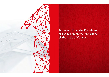

Statement from the Presidents of HA Group on the Importance of the Code of Conduct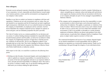### **Dear colleagues,**

Economic success and good corporate citizenship are inseparable objectives of our corporation. As such, responsible and ethical behavior toward employees, business partners, society and the environment is an integral part of our company's value system.

Needless to say that we conduct our business in compliance with laws and regulations. Violations are not only inconsistent with our values; they are also harmful to our reputation and the HA brand and can lead to significant legal consequences. Individuals who act in an unlawful manner are harming the company, its shareholders, its employees and its customers. Such behavior diminishes the company's financial success, hampers its capacity to invest and grow, and can ultimately jeopardize the jobs it provides.

The Code of Conduct serves as a common guideline for our decisions and our actions. It outlines binding minimum standards for responsible behavior towards business partners and the public, as well as for our behavior within the company. By heightening awareness of legal risks it will help prevent any violations of relevant laws. All of us are obligated to adhere to the principles laid out in this Code. This Code is binding for Hüttenes-Albertus Chemische Werke GmbH and all companies that Hüttenes-Albertus Chemische Werke GmbH directly or indirectly controls.

*With respect to the Code, we would like to underscore the following three points:*

 $\rightarrow$  Nothing can take the place of personal integrity and sound judgment. In order to uphold our corporate responsibility, it is essential that all of us are aware of the laws and regulations relevant to our respective fields of work, and take personal responsibility for abiding by them. This Code in its section 3 contains a simple, easy-to-use decision making guide that shall assist you in always making the right decisions.

- $\rightarrow$  Managers have a special obligation to lead by example. Embodying our values, exemplifying our corporate culture and taking swift and decisive action against any business activities that are inconsistent with the law or our company principles are part of every manager's responsibilities at Hüttenes-Albertus.
- $\rightarrow$  The company and its management also have the responsibility to create an environment in which critical topics can be discussed openly and without fear of retaliation. This applies, in particular, to violations of the Code of Conduct. Whoever becomes aware of any such violation should be able to turn to a person they can trust within their immediate work environment. If this is not possible or advisable in a certain situation, employees at Hüttenes-Albertus can always seek guidance from other contact persons, in particular their colleagues listed as Compliance Champions or subject matter experts in section 4 of this Code.

The continued development and success of our company depends largely on our shared commitment to social responsibility and our ability to maintain our reputation as a trustworthy business partner. Thank you for contributing to this goal through the integrity of your individual actions.

Franz Friedrich Butz  $\overline{I}$  Christoph Koch President President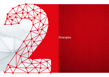

# Principles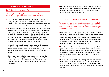### **2.1 GENERAL REQUIREMENTS**

### 2.1.1 Compliance with the law

We comply with all applicable local, national and international laws and regulations wherever we do business.

- $\rightarrow$  Compliance with all applicable laws and regulations is critically important to the success of our companies worldwide. The violation of laws and regulations can have severe consequences, such as criminal convictions, fines and reputational damage.
- $\rightarrow$  All Hüttenes-Albertus managers are obligated to be familiar with the basic laws, regulations and corporate policies that are relevant to their areas of responsibility. Comprehensive knowledge of applicable laws and corporate policy is especially important for those managers who, because of their specific functions or appointed positions, have a special responsibility for ensuring compliance (e.g., managing directors, managers in EHS, Finance, Human Resources, Legal & Compliance).
- $\rightarrow$  In specific Hüttenes-Albertus affiliates, countries, industries or markets as well as with specific business partners, stricter rules than those described in this Code of Conduct may exist. In such cases, employees should assume that the stricter standard applies.
- $\rightarrow$  If there is any doubt whether a decision is legally sound, the Hüttenes-Albertus Legal & Compliance department or other appropriate person listed in section 4 ("Your contacts for the Code of Conduct") should be contacted for assistance and clarification.

 $\rightarrow$  Hüttenes-Albertus is committed to swiftly investigate potential violations of these rules and will decisively and expeditiously take appropriate action, which may in serious cases include dismissal of perpetrating employees.

### 2.1.2 Freedom to speak without fear of retaliation

We encourage our employees to speak up freely and without fear of retaliation. Retaliation against employees who raise good-faith concerns about misconduct occurring in the company is prohibited.

- $\rightarrow$  Being able to speak freely helps to prevent misconduct, and to detect and correct it, should it occur. We therefore value an open work environment where employees can approach their supervisors or management to raise issues or voice criticism without any concerns. Managers are responsible for encouraging open dialogue and for supporting their employees and addressing their concerns in a fair and impartial manner.
- $\rightarrow$  Intimidation or retaliation against employees who in good faith provide reports of suspected or actual misconduct must not be tolerated. Reporting misconduct "in good faith" means that an individual believes that what he or she is asserting is true, whether a subsequent investigation proves that report to be true or not.
- $\rightarrow$  If employees feel uncomfortable raising concerns directly with their manager or another person locally, or if their attempts to do so are ineffectual, we encourage them to make use of the resources introduced in section 4 ("Your contacts for the Code of Conduct").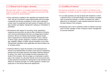### 2.1.3 Mutual trust & respect, diversity

We treat each other in a mutually respectful and trusting manner and seek to create a workplace environment that does not allow for discrimination.

- $\rightarrow$  Every individual is entitled to fair, dignified and respectful treatment. We are committed to equal opportunities and encourage a respectful and diverse workplace in which each individual's unique value is recognized and each person is treated with courtesy, honesty and dignity. Harassment, bullying or intimidation is prohibited.
- $\rightarrow$  All decisions with respect to recruiting, hiring, disciplinary measures and promotion as well as other conditions of employment must be administered free from any illegal discriminatory practices. We do not tolerate discrimination against employees or applicants for employment because of race, national or ethnic origin, gender, pregnancy, marital or parental status, age, disability, religion or belief, sexual orientation or any other characteristic specified under applicable anti-discrimination law or company policy.
- $\rightarrow$  Hüttenes-Albertus values the diversity of its employees and strives to be representative of today's work force by maintaining policies that encourage diversity and enable Hüttenes-Albertus to attract, hire, retain, and leverage the best employees at all levels of the company. We encourage our employees to participate in the creation of a diversity friendly work environment and to take personal ownership for making day-to-day decisions that reflect our diversity principle. For further guidance, contact your supervisor or the Human Resources department.

### 2.1.4 Conflicts of interest

We disclose potential or actual conflicts of interest in the workplace in a timely manner for proper review and resolution.

- $\rightarrow$  In our daily business we may be faced with situations in which a decision that is in the best interest of the company competes with our personal interests. A conflict of interest can make it difficult for an individual to make impartial decisions that are in the best interest of the company.
- $\rightarrow$  Employees with a real or potential conflict of interest must disclose it to their manager or their company's senior management for prompt resolution.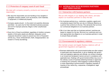### 2.1.5 Protection of company assets & anti-fraud

We deal with company property, products and resources responsibly.

- $\rightarrow$  We value the responsible use and handling of any tangible or intangible company assets, such as products, work materials, IT equipment, or intellectual property.
- $\rightarrow$  Company assets should to the extent not explicitly otherwise permitted – be used only for their intended business purposes and not for improper personal, illegal or other unauthorized purposes.
- $\rightarrow$  Every form of fraud is prohibited, regardless of whether company assets or third-party assets are affected. Adequate control measures should be in place to prevent any form of fraudulent activity (e.g., fraud, embezzlement, theft, misappropriation, tax evasion or money laundering).

### **2.2 INTERACTION WITH BUSINESS PARTNERS AND THIRD PARTIES**

### 2.2.1 Interaction with business partners

We act with integrity in our dealing with others, and also expect our business partners to obey the law.

- $\rightarrow$  Our business partners (e.g., customers, suppliers, agents and consultants) expect that they can rely on Hüttenes-Albertus as a partner that conforms to the law. This demands that we know our contractual obligations to our business partners.
- $\rightarrow$  We in turn take care that our business partners' practices are based on respect for the law. We know our customers and conduct appropriate due diligence on our business partners in order to ensure these principles.

### 2.2.2 Governmental & regulatory relations

We maintain proper and legally flawless relations with all government regulators and agencies.

 $\rightarrow$  Business relationships with governmental bodies are often subject to particularly strict requirements. In all our dealings with government and regulatory agencies and officials, we conduct ourselves in an honest and transparent manner and act in compliance with applicable laws. Dealings with governmental entities may occur in the ordinary course of business (obtaining licenses or approvals or entering into contracts), while engaging in political lobbying, or when responding to governmental or regulatory requests or inquiries of any nature (e.g., subpoenas, investigations, legal proceedings).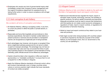$\rightarrow$  Employees who receive any kind of governmental inquiry shall immediately contact their company's senior management and the Legal & Compliance department for assistance prior to taking further action in order to ensure compliance with all legal requirements.

### 2.2.3 Anti-corruption & anti-bribery

### We condemn all forms of corruption and bribery.

- $\rightarrow$  At Hüttenes-Albertus, offering or accepting a bribe, in any form, to or from any person in either the public or private sectors, is prohibited.
- $\rightarrow$  Reasonable and bona fide hospitality and promotional or other business expenditures, that seek to maintain cordial relations or present products or services and are provided in a transparent manner, are recognized as a legitimate part of doing business
- $\rightarrow$  Such advantages may, however, only be given or accepted if they serve a legitimate business purpose and do not serve to obtain or grant an improper advantage. The advantage may not have an unreasonably high value and may not exceed the limits of customary business practice or the recipient's normal standard of living. Generally, public officials should not be offered any advantages.
- $\rightarrow$  Caution should be taken when requests or offers are made for sponsorship or a "charitable contribution" to ensure that it is not a request for or offer of bribery in disguise.
- $\rightarrow$  Apply the Hüttenes Albertus standards of financial control, ethics and conduct internationally, even in foreign countries where culture or common practice might indicate that lower standards of conduct are widely accepted.

### 2.2.4 Export Control

### Hüttenes-Albertus is fully committed to abide by the spirit and the letter of all applicable import and export control laws.

- $\rightarrow$  National and international laws regulate the import, export or domestic trade of goods, technology, services, the handling of specific products, as well as capital movements and payments. Adequate procedures must be used to ensure that transactions with third parties do not violate current economic embargoes or regulations of trade, import or export controls, or regulations for the prevention of terrorism financing.
- $\rightarrow$  Abide by import and export controls as they relate to your business and products.
- $\rightarrow$  Seek legal counsel when doing business with countries subject to sanctions imposed by the Security Counsel of the United Nations, by the European Union, the U.S. Government or the country you are operating in.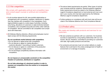### 2.2.5 Fair competition

We comply with applicable antitrust and competition laws and consult expert counsel on antitrust and competition issues.

- $\rightarrow$  In all countries relevant for HA, laws prohibit relationships or arrangements with competitors, suppliers, distributors or dealers that may interfere with competition in the marketplace. Such legal prohibitions apply to a wide range of activities, including price fixing, allocations of customers or sales territories between competitors, anti-competitive boycotts and other unfair methods of competition. We are committed to fair competition and compliance with these laws.
- $\rightarrow$  All Hüttenes-Albertus directors, officers and employees must at least comply with the following requirements:

### *Do not coordinate market behavior with competitors.*

- Do not discuss or agree prices with competitors.
- Do not discuss or agree on market allocation / customer allocation / boycotting of certain customers.
- Do not discuss or agree on a restriction of the production volume, capacities or sales volume.
- Do not exchange competitively sensitive information with competitors.

 *Do not impose an unreasonable constraint on the competitive freedom of customers, distributors or suppliers.*

 *Do not take advantage of a dominant position in order to squeeze out competitors from the market or to manipulate the market.*

- $\rightarrow$  The above listed requirements are partial. Other types of activity may comprise antitrust violations. General questions regarding these requirements should be raised to the Hüttenes-Albertus Legal & Compliance department or local external anti-trust counsel in your country who has been approved by the Hüttenes-Albertus Legal & Compliance department.
- $\rightarrow$  Further guidance on compliance with anti-trust rules will be provided in the Hüttenes-Albertus Anti-Trust Compliance Manual.

### 2.2.6 Product safety

We create and develop safe products and services for our customers.

- $\rightarrow$  We see ourselves as partners with our customers. Our business success is supported by a long-lasting relationship with our customers. We are, therefore, committed to providing our customers with safe, high-quality products and services.
- $\rightarrow$  Our products and services must not contain defects or unsafe features that could lead to the unduly endangerment of health or environment or to damage of property.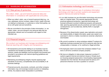### **2.3 HANDLING OF INFORMATION**

### 2.3.1 Data privacy & protection

We collect, retain, use and transmit personal data and information in compliance with applicable law and policy.

- $\rightarrow$  When we collect, retain, use or transmit personal data (e.g., names, addresses, phone numbers, dates of birth, health information) relating to employees, or customers or other third parties, we do so with great care and sensitivity.
- $\rightarrow$  We are committed to the principle of data minimization, i.e. we collect, retain, use and transport only personal data that are appropriate, relevant and not excessive with regard to their intended use.

### 2.3.2 Financial integrity

We conduct our business and manage recordkeeping and financial reporting with integrity and transparency.

- $\rightarrow$  All transactions and records relating to our business must be maintained and handled accurately and appropriately. All transactions, assets and liabilities must be properly documented and recorded in accordance with internal reporting guidelines and legal requirements.
- $\rightarrow$  Maintaining recordkeeping integrity requires applying high standards of accuracy, completeness and accountability in all business dealings.
- 20 21 entries. Any balance sheet manipulation is prohibited.  $\rightarrow$  Financial accounts, documents, contracts, and other company information may not knowingly include incorrect or misleading

### 2.3.3 Information technology use & security

We make proper business use of workplace information technology and help to protect systems and equipment against internal and external threats.

- $\rightarrow$  In our daily business we use information technology and process data on a regular basis. This requires appropriate security practices (password protection, approved technology and licensed software) to protect intellectual property and personal data. Ignoring appropriate security practices can lead to serious consequences, such as data loss, identity theft or copyright infringement.
- $\rightarrow$  Because of the dissemination speed, easy replication and practical indestructibility of digital information, great care needs to be exercised in what is e-mailed, recorded as voicemail, attached or downloaded.
- $\rightarrow$  We commit ourselves to using workplace-related IT systems for legitimate business purposes and not for personal uses that are unreasonable or improper, or for unethical or illegal activities.
- $\rightarrow$  All employees need to be aware that workplace-related IT systems in all forms constitute company property.
- $\rightarrow$  We have an obligation to take proper measures to protect IT systems against internal and external misuse or threats (such as misusing assigned passwords or downloading inappropriate materials from the internet). We should seek the advice of IT personnel whenever we have a question or concern.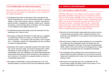### 2.3.4 Confidentiality & intellectual property

We protect confidential information from unauthorized disclosure and use. We protect the reputation of our company in our public statements.

- $\rightarrow$  Confidential information is information that is intended for the named recipient(s) only, not for internal dissemination or external release. It may involve records, reports, contracts, financial and personnel data, investigations, lawsuits, creative work, intellectual property, or new business plans or products, and may appear in many different forms (digital, physical, etc.).
- $\rightarrow$  Confidential business information should be restricted to those employees who "need to know."
- $\rightarrow$  Discussing confidential information in public places or engaging in unauthorized sharing of company or customer information with third parties — for example, with the media or with competitors — constitutes a breach of confidentiality and may constitute a violation of applicable laws.
- $\rightarrow$  Employees with access to especially sensitive information (financial, human resources, legal, new product development, insider information on other companies, IT, etc.) must observe strict confidentiality even with colleagues, and should seek appropriate advice before disclosing any such information to third parties. In such instances, it is important to evaluate whether to enter into confidentiality agreements.
- $\rightarrow$  By keeping confidentiality we help protecting one of our most important assets, our product know-how and intellectual property.

### **2.4 PEOPLE & ENVIRONMENT**

### 2.4.1 Environment, health & safety

Hüttenes-Albertus is committed to environmental, health, and safety excellence throughout our operations, both to fulfill our social responsibilities and as a means to build the value of our business. Excellence means integrating health, safety and environmental planning and execution into all business activities, complying with the law, conserving natural resources, responsibly managing environmental, health and safety risks and working collaboratively with others in addressing issues and opportunities.

- $\rightarrow$  We strive for environmentally responsible procurement and use of natural resources (energy, water, materials and land) in the production and distribution of our products and the performance of our services.
- $\rightarrow$  We will provide a healthy and safe workplace for our employees by complying with all applicable health and safety laws and standards. Managers in particular must ensure that appropriate health, safety and security practices and safeguards are in place to comply with applicable laws and management standards.
- $\rightarrow$  Our employees shall understand the environmental and occupational health and safety implications of our products and businesses and understand and comply with the legal requirements relating to them.
- $\rightarrow$  We include in all business plans due consideration for the environmental, health and safety impact of the actions or nonactions contemplated in such plans.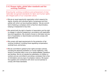### 2.4.2 Human rights, global labor standards and fair working conditions

Ensuring fair working conditions and achievement of inter nationally recognized standards for labor and human rights are integral parts of our corporate culture.

- $\rightarrow$  We are an equal opportunity organization which respects the dignity, diversity and individual rights of employees and third parties with whom we have business relations. We are commit ted to fostering a workplace which is free from discrimination, bullying or harassment of any kind.
- $\rightarrow$  We uphold both the right to freedom of association and the right to engage in collective bargaining in accordance with applicable laws and regulations. We condemn forced or child labor and any form of exploitation or discrimination and strictly comply with applicable laws.
- $\rightarrow$  We comply with legal requirements for the protection of fair working conditions, including those regulating compensation, working hours, and privacy.
- $\rightarrow$  We are committed to global human rights and labor policies, including the absolute prohibition on human trafficking, child, forced or involuntary labor in any of our global affiliates, operations and facilities. We do not tolerate the exploitation of children or workers and are committed to providing a workplace that is free of intimidation and any type of workplace violence. We expect the suppliers and contractors with whom we do business to comply with these standards.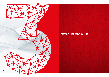

## Decision-Making Guide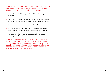If you are ever uncertain whether a particular action or decision is in accordance with the requirements of the Code of Conduct, then consider the following questions:

- $\rightarrow$  Is my action or decision legal and consistent with company policies?
- $\rightarrow$  Can I make an independent decision that is in the best interest of the company and free from any competing personal interests?
- $\rightarrow$  Can I make the decision in good conscience?
- $\rightarrow$  Would I feel comfortable if my action or decision were made public? Would my decision hold up to scrutiny by a third party?
- $\rightarrow$  Am I confident that my action or decision will not hurt our company's reputation?

If you can confidently answer yes to each of these questions, it is likely that your action or decision is appropriate. Should you have any doubts regarding one of these questions, then do not act or make a decision without first seeking qualified advice. The next section describes the available resources you can turn to.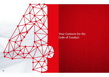

Your Contacts for the Code of Conduct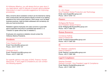At Hüttenes-Albertus, you will always find an open door if you need advice, want to discuss a concern about potential misconduct or want to provide suggestions for improving procedures.

Many concerns about workplace conduct can be resolved by raising them constructively with the persons directly involved or by seeking assistance from local contact persons. Other issues, such as illegal business practices, might be better addressed with somebody outside your local environment.

Retaliation against employees who raise concerns in good faith about suspected misconduct is prohibited (see section 2.1.2 "Freedom to speak without fear of retaliation").

Employees who experience retaliation should contact the Hüttenes-Albertus Presidents.

### Presidents:

Franz Friedrich Butz Email: Franz.Butz@ha-group.com Phone: +49 511 9797 107

### Christoph Koch

Email: Christoph.Koch@ha-group.com Phone: +49 211 5087 207

For specific advice in the area of EHS, Finance, Human Resources, IT and Legal & Compliance you can contact the following experts.

### EHS:

Dr. Jörn Küper Vice President Global Production and Technology Email: Joern.Kueper@ha-group.com Phone: +49 511 9797 110

### Finance:

Wolfgang Nill-Rücker Vice President Global Finance Email: Wolfgang.Nill-Ruecker@ha-group.com Phone: +49 211 5087 237

### Human Resources:

Constanze Kaßner Head of Global HR Email: Constanze.Kassner@ha-group.com Phone: +49 211 5087 293

### IT:

Dr. Stephan Luenskens Head of Global IT Email: Stephan.Luenskens@ha-group.com Phone: +49 211 5087 409

### Legal & Compliance:

Stephan Rudolph General Counsel / Vice President Legal & Compliance Email: Stephan.Rudolph@ha-group.com Phone: +49 211 5087 202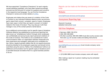We have appointed "Compliance Champions" for each majorityowned operating subsidiary, who have been trained accordingly and serve as the first point of contact for questions and concerns in the respective local language. You can find the Compliance Champion's names and contact details on sHAre.

Employees who believe they are aware of a violation of this Code of Conduct or any individual Hüttenes-Albertus policy are encouraged to report their concern, complaint, report or inquiry. Employees have many ways in which they can report a concern or incident related to this Code of Conduct. They may discuss it with their manager or any of the contact persons named above.

As an additional communication tool for specific types of situations Hüttenes-Albertus has established an anonymous reporting tool (also known as "whistleblower hotline") through which employees can confidentially and anonymously report perceived violations of this Code of Conduct. This hotline is not a substitute for routine communications within our organization between employees and their supervisors and managers, particularly as to workplace duties. Hence, regular business matters that do not require anonymity should be directed to the employee's supervisor and should not be submitted using this service. Rather, this whistleblower hotline is an additional communication tool for specific types of situations and it is provided because we believe that it is a good business practice to do so.

Reports can be made via the following communication tools:

### Website:

[www.lighthouse-services.com/ha-group](http://www.lighthouse-services.com/ha-group)

### Anonymous Reporting App:

Keyword: ha-group [\(detailed instructions here\)](https://www.lighthouse-services.com/documents/Using%20the%20Lighthouse%20Anonymous%20Reporting%20App.docx)

### Toll-Free Telephone:

- $\rightarrow$  Germany: 0800-183-0724
- $\rightarrow$  USA: 855-400-6002
- $\rightarrow$  All other countries: 800-603-2869 (must dial country access code [first click here for access codes and dialing instructions\)](http://www.lighthouse-services.com/documentlink/International%20Toll-free%20Hotline%20Access%20Instructions.pdf)

### Email:

[reports@lighthouse-services.com](mailto:reports%40lighthouse-services.com?subject=) (must include company name with report)

### Fax:

+1 (215) 689-3885 (must include company name with report)

After making a report an in-person meeting may be scheduled upon request.